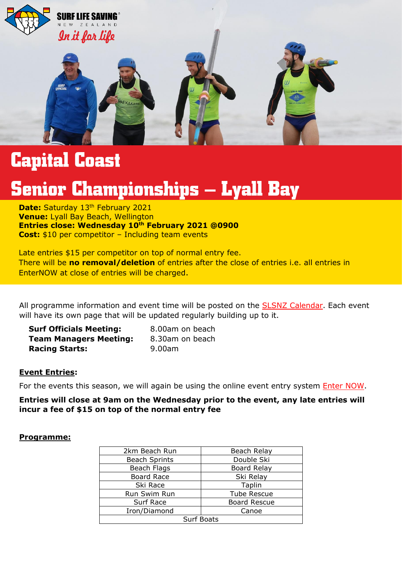

### **Capital Coast**

## **Senior Championships – Lyall Bay**

**Date:** Saturday 13<sup>th</sup> February 2021<br>**Venue:** Lyall Bay Beach, Wellington Kia Ora Senior Surf, **Entries close: Wednesday 10th February 2021 @0900**  Please for the important information regarding the 2020/2021 Capital Coast Senior Surface Senior Surface Senior Surface Senior Surface Senior Surface Senior Surface Senior Surface Senior Surface Senior Surface Senior Surfa **Date: Saturday 13th February 2021 Cost:** \$10 per competitor – Including team events

Late entries \$15 per competitor on top of normal entry fee. EnterNOW at close of entries will be charged. There will be **no removal/deletion** of entries after the close of entries i.e. all entries in

All programme information and event time will be posted on the [SLSNZ Calendar.](https://www.surflifesaving.org.nz/calendar) Each event will have its own page that will be updated regularly building up to it.

| <b>Surf Officials Meeting:</b> | 8.00am on beach |
|--------------------------------|-----------------|
| <b>Team Managers Meeting:</b>  | 8.30am on beach |
| <b>Racing Starts:</b>          | 9.00am          |

#### **Event Entries:**

For the events this season, we will again be using the online event entry system [Enter NOW.](http://slsnz.enternow.co.nz/slsnz/)

**Entries will close at 9am on the Wednesday prior to the event, any late entries will incur a fee of \$15 on top of the normal entry fee**

#### **Programme:**

| 2km Beach Run        | Beach Relay         |  |
|----------------------|---------------------|--|
| <b>Beach Sprints</b> | Double Ski          |  |
| Beach Flags          | <b>Board Relay</b>  |  |
| Board Race           | Ski Relay           |  |
| Ski Race             | Taplin              |  |
| Run Swim Run         | <b>Tube Rescue</b>  |  |
| Surf Race            | <b>Board Rescue</b> |  |
| Iron/Diamond         | Canoe               |  |
| <b>Surf Boats</b>    |                     |  |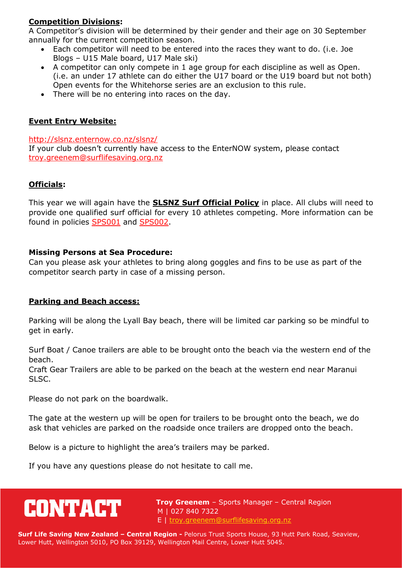#### **Competition Divisions:**

A Competitor's division will be determined by their gender and their age on 30 September annually for the current competition season.

- Each competitor will need to be entered into the races they want to do. (i.e. Joe Blogs – U15 Male board, U17 Male ski)
- A competitor can only compete in 1 age group for each discipline as well as Open. (i.e. an under 17 athlete can do either the U17 board or the U19 board but not both) Open events for the Whitehorse series are an exclusion to this rule.
- There will be no entering into races on the day.

#### **Event Entry Website:**

<http://slsnz.enternow.co.nz/slsnz/>

If your club doesn't currently have access to the EnterNOW system, please contact [troy.greenem@surflifesaving.org.nz](mailto:troy.greenem@surflifesaving.org.nz)

#### **Officials:**

This year we will again have the **SLSNZ Surf Official Policy** in place. All clubs will need to provide one qualified surf official for every 10 athletes competing. More information can be found in policies [SPS001](https://www.surflifesaving.org.nz/media/618788/SS001-Junior-Surf-Officials-Ratio-Policy_2015.pdf) and [SPS002.](https://www.surflifesaving.org.nz/media/618791/SS002-Surf-Officials-Ratio-Policy_2015.pdf)

#### **Missing Persons at Sea Procedure:**

Can you please ask your athletes to bring along goggles and fins to be use as part of the competitor search party in case of a missing person.

#### **Parking and Beach access:**

Parking will be along the Lyall Bay beach, there will be limited car parking so be mindful to get in early.

Surf Boat / Canoe trailers are able to be brought onto the beach via the western end of the beach.

Craft Gear Trailers are able to be parked on the beach at the western end near Maranui SLSC.

Please do not park on the boardwalk.

The gate at the western up will be open for trailers to be brought onto the beach, we do ask that vehicles are parked on the roadside once trailers are dropped onto the beach.

Below is a picture to highlight the area's trailers may be parked.

If you have any questions please do not hesitate to call me.

# **CONTACT**

 **Troy Greenem** – Sports Manager – Central Region M | 027 840 7322 E | [troy.greenem@surflifesaving.org.nz](mailto:troy.greenem@surflifesaving.org.nz)

**Surf Life Saving New Zealand – Central Region -** Pelorus Trust Sports House, 93 Hutt Park Road, Seaview, Lower Hutt, Wellington 5010, PO Box 39129, Wellington Mail Centre, Lower Hutt 5045.